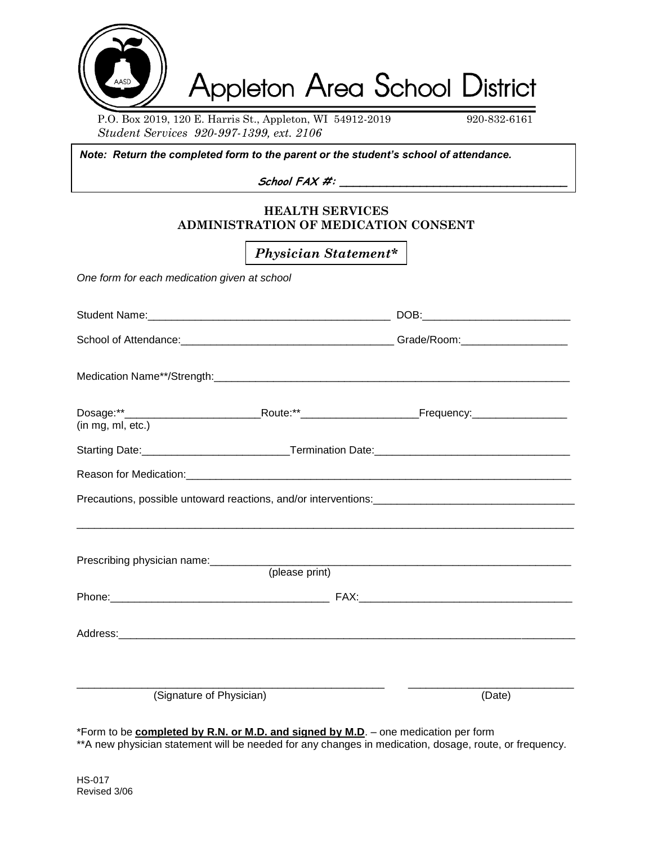

P.O. Box 2019, 120 E. Harris St., Appleton, WI 54912-2019 920-832-6161 *Student Services 920-997-1399, ext. 2106*

*Note: Return the completed form to the parent or the student's school of attendance.*

**School FAX #: \_\_\_\_\_\_\_\_\_\_\_\_\_\_\_\_\_\_\_\_\_\_\_\_\_\_\_\_\_\_\_\_\_\_**

## **HEALTH SERVICES ADMINISTRATION OF MEDICATION CONSENT**

*Physician Statement\**

*One form for each medication given at school*

| (in mg, ml, etc.)        |                |        |  |
|--------------------------|----------------|--------|--|
|                          |                |        |  |
|                          |                |        |  |
|                          |                |        |  |
|                          | (please print) |        |  |
|                          |                |        |  |
|                          |                |        |  |
| (Signature of Physician) |                | (Date) |  |
|                          |                |        |  |

\*Form to be **completed by R.N. or M.D. and signed by M.D**. – one medication per form

\*\*A new physician statement will be needed for any changes in medication, dosage, route, or frequency.